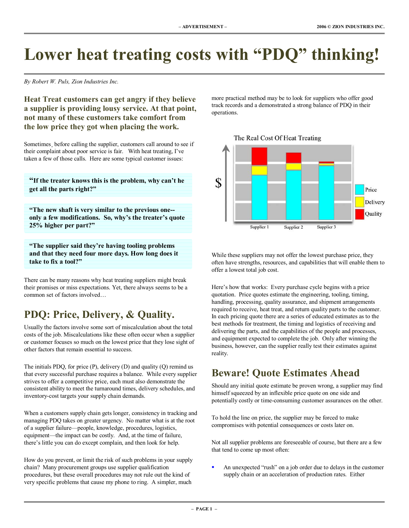# Lower heat treating costs with "PDQ" thinking!

*By Robert W. Puls, Zion Industries Inc.* 

**Heat Treat customers can get angry if they believe a supplier is providing lousy service. At that point, not many of these customers take comfort from the low price they got when placing the work.** 

Sometimes, before calling the supplier, customers call around to see if their complaint about poor service is fair. With heat treating, I've taken a few of those calls. Here are some typical customer issues:

**<sup>4</sup>If the treater knows this is the problem, why can't he get all the parts right?î**

**ìThe new shaft is very similar to the previous one-** only a few modifications. So, why's the treater's quote **25% higher per part?î** 

**ìThe supplier said theyíre having tooling problems and that they need four more days. How long does it take to fix a tool?î**

There can be many reasons why heat treating suppliers might break their promises or miss expectations. Yet, there always seems to be a common set of factors involved...

# **PDQ: Price, Delivery, & Quality.**

Usually the factors involve some sort of miscalculation about the total costs of the job. Miscalculations like these often occur when a supplier or customer focuses so much on the lowest price that they lose sight of other factors that remain essential to success.

The initials PDQ, for price (P), delivery (D) and quality (Q) remind us that every successful purchase requires a balance. While every supplier strives to offer a competitive price, each must also demonstrate the consistent ability to meet the turnaround times, delivery schedules, and inventory-cost targets your supply chain demands.

When a customers supply chain gets longer, consistency in tracking and managing PDQ takes on greater urgency. No matter what is at the root of a supplier failure—people, knowledge, procedures, logistics, equipment—the impact can be costly. And, at the time of failure, there's little you can do except complain, and then look for help.

How do you prevent, or limit the risk of such problems in your supply chain? Many procurement groups use supplier qualification procedures, but these overall procedures may not rule out the kind of very specific problems that cause my phone to ring. A simpler, much

more practical method may be to look for suppliers who offer good track records and a demonstrated a strong balance of PDQ in their operations.



The Real Cost Of Heat Treating

While these suppliers may not offer the lowest purchase price, they often have strengths, resources, and capabilities that will enable them to offer a lowest total job cost.

Here's how that works: Every purchase cycle begins with a price quotation. Price quotes estimate the engineering, tooling, timing, handling, processing, quality assurance, and shipment arrangements required to receive, heat treat, and return quality parts to the customer. In each pricing quote there are a series of educated estimates as to the best methods for treatment, the timing and logistics of receiving and delivering the parts, and the capabilities of the people and processes, and equipment expected to complete the job. Only after winning the business, however, can the supplier really test their estimates against reality.

### **Beware! Quote Estimates Ahead**

Should any initial quote estimate be proven wrong, a supplier may find himself squeezed by an inflexible price quote on one side and potentially costly or time-consuming customer assurances on the other.

To hold the line on price, the supplier may be forced to make compromises with potential consequences or costs later on.

Not all supplier problems are foreseeable of course, but there are a few that tend to come up most often:

An unexpected "rush" on a job order due to delays in the customer supply chain or an acceleration of production rates. Either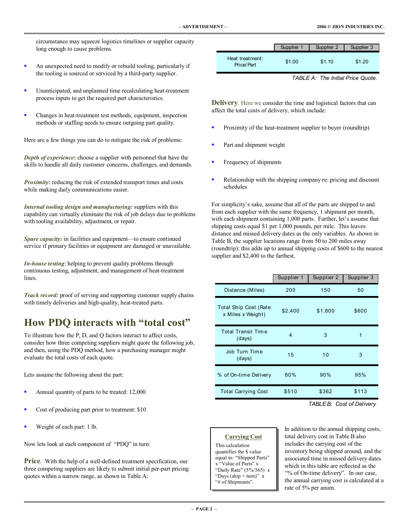circumstance may squeeze logistics timelines or supplier capacity long enough to cause problems.

- ! An unexpected need to modify or rebuild tooling, particularly if the tooling is sourced or serviced by a third-party supplier.
- ! Unanticipated, and unplanned time recalculating heat-treatment process inputs to get the required part characteristics.
- ! Changes in heat-treatment test methods, equipment, inspection methods or staffing needs to ensure outgoing part quality.

Here are a few things you can do to mitigate the risk of problems:

*Depth of experience***:** choose a supplier with personnel that have the skills to handle all daily customer concerns, challenges, and demands.

*Proximity:* reducing the risk of extended transport times and costs while making daily communications easier.

*Internal tooling design and manufacturing:* suppliers with this capability can virtually eliminate the risk of job delays due to problems with tooling availability, adjustment, or repair.

*Spare capacity:* in facilities and equipment—to ensure continued service if primary facilities or equipment are damaged or unavailable.

*In-house testing*: helping to prevent quality problems through continuous testing, adjustment, and management of heat-treatment lines.

*Track record:* proof of serving and supporting customer supply chains with timely deliveries and high-quality, heat-treated parts.

### **How PDQ interacts with "total cost"**

To illustrate how the P, D, and Q factors interact to affect costs, consider how three competing suppliers might quote the following job, and then, using the PDQ method, how a purchasing manager might evaluate the total costs of each quote.

Lets assume the following about the part:

- Annual quantity of parts to be treated: 12,000
- Cost of producing part prior to treatment: \$10
- Weight of each part: 1 lb.

Now lets look at each component of "PDQ" in turn:

**Price**. With the help of a well-defined treatment specification, our three competing suppliers are likely to submit initial per-part pricing quotes within a narrow range, as shown in Table A:

|                               | Supplier 1 | Supplier 2 | Supplier 3 |
|-------------------------------|------------|------------|------------|
| Heat treatment:<br>Price/Part | \$1.00     | \$1.10     | \$1.20     |

*TABLE A: The Initial Price Quote.*

**Delivery**. Here we consider the time and logistical factors that can affect the total costs of delivery, which include:

- Proximity of the heat-treatment supplier to buyer (roundtrip)
- Part and shipment weight
- Frequency of shipments
- Relationship with the shipping company re: pricing and discount schedules

For simplicity's sake, assume that all of the parts are shipped to and from each supplier with the same frequency, 1 shipment per month, with each shipment containing 1,000 parts. Further, let's assume that shipping costs equal \$1 per 1,000 pounds, per mile. This leaves distance and missed delivery dates as the only variables. As shown in Table B, the supplier locations range from 50 to 200 miles away (roundtrip): this adds up to annual shipping costs of \$600 to the nearest supplier and \$2,400 to the farthest.

|                                            | Supplier 1     | Supplier 2 | Supplier 3 |
|--------------------------------------------|----------------|------------|------------|
| Distance (Miles)                           | 200            | 150        | 50         |
| Total Ship Cost (Rate<br>x Miles x Weight) | \$2,400        | \$1,800    | \$600      |
| <b>Total Transit Time</b><br>(days)        | $\overline{4}$ | 3          | 1          |
| Job Turn Time<br>(days)                    | 15             | 10         | 3          |
| % of On-time Delivery                      | 80%            | 90%        | 95%        |
| <b>Total Carrying Cost</b>                 | \$510          | \$362      | \$113      |

*TABLE B: Cost of Delivery*

#### **Carrying Cost**

This calculation quantifies the \$ value equal to: "Shipped Parts" x "Value of Parts" x "Daily Rate"  $(5\%/365)$  x "Days (ship + turn)"  $x$ "# of Shipments".

In addition to the annual shipping costs, total delivery cost in Table B also includes the carrying cost of the inventory being shipped around, and the associated time in missed delivery dates which in this table are reflected as the ì% of On-time deliveryî. In our case, the annual carrying cost is calculated at a rate of 5% per anum.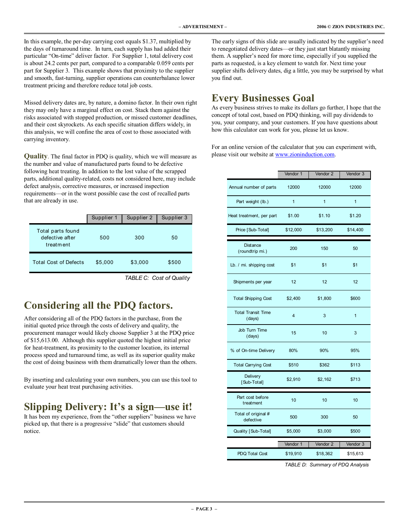In this example, the per-day carrying cost equals \$1.37, multiplied by the days of turnaround time. In turn, each supply has had added their particular "On-time" deliver factor. For Supplier 1, total delivery cost is about 24.2 cents per part, compared to a comparable 0.059 cents per part for Supplier 3. This example shows that proximity to the supplier and smooth, fast-turning, supplier operations can counterbalance lower treatment pricing and therefore reduce total job costs.

Missed delivery dates are, by nature, a domino factor. In their own right they may only have a marginal effect on cost. Stack them against the risks associated with stopped production, or missed customer deadlines, and their cost skyrockets. As each specific situation differs widely, in this analysis, we will confine the area of cost to those associated with carrying inventory.

**Quality**. The final factor in PDQ is quality, which we will measure as the number and value of manufactured parts found to be defective following heat treating. In addition to the lost value of the scrapped parts, additional quality-related, costs not considered here, may include defect analysis, corrective measures, or increased inspection requirements—or in the worst possible case the cost of recalled parts that are already in use.

|                                                   | Supplier 1 | Supplier 2 | Supplier 3 |
|---------------------------------------------------|------------|------------|------------|
| Total parts found<br>defective after<br>treatment | 500        | 300        | 50         |
| <b>Total Cost of Defects</b>                      | \$5,000    | \$3,000    | \$500      |

*TABLE C: Cost of Quality*

# **Considering all the PDQ factors.**

After considering all of the PDQ factors in the purchase, from the initial quoted price through the costs of delivery and quality, the procurement manager would likely choose Supplier 3 at the PDQ price of \$15,613.00. Although this supplier quoted the highest initial price for heat-treatment, its proximity to the customer location, its internal process speed and turnaround time, as well as its superior quality make the cost of doing business with them dramatically lower than the others.

By inserting and calculating your own numbers, you can use this tool to evaluate your heat treat purchasing activities.

# **Slipping Delivery: It's a sign—use it!**

It has been my experience, from the "other suppliers" business we have picked up, that there is a progressive "slide" that customers should notice.

The early signs of this slide are usually indicated by the supplier's need to renegotiated delivery dates—or they just start blatantly missing them. A supplier's need for more time, especially if you supplied the parts as requested, is a key element to watch for. Next time your supplier shifts delivery dates, dig a little, you may be surprised by what you find out.

### **Every Businesses Goal**

As every business strives to make its dollars go further, I hope that the concept of total cost, based on PDQ thinking, will pay dividends to you, your company, and your customers. If you have questions about how this calculator can work for you, please let us know.

For an online version of the calculator that you can experiment with, please visit our website at www.zioninduction.com.

|                                     | Vendor 1                | Vendor 2     | Vendor 3 |
|-------------------------------------|-------------------------|--------------|----------|
| Annual number of parts              | 12000                   | 12000        | 12000    |
| Part weight (lb.)                   | 1                       | $\mathbf{1}$ | 1        |
| Heat treatment, per part            | \$1.00                  | \$1.10       | \$1.20   |
| Price [Sub-Total]                   | \$12,000                | \$13,200     | \$14,400 |
| <b>Distance</b><br>(roundtrip mi.)  | 200                     | 150          | 50       |
| Lb. / mi. shipping cost             | \$1                     | \$1          | \$1      |
| Shipments per year                  | 12                      | 12           | 12       |
| <b>Total Shipping Cost</b>          | \$2,400                 | \$1,800      | \$600    |
| <b>Total Transit Time</b><br>(days) | $\overline{\mathbf{4}}$ | 3            | 1        |
| Job Turn Time<br>(days)             | 15                      | 10           | 3        |
| % of On-time Delivery               | 80%                     | 90%          | 95%      |
| <b>Total Carrying Cost</b>          | \$510                   | \$362        | \$113    |
| Delivery<br>[Sub-Total]             | \$2,910                 | \$2,162      | \$713    |
| Part cost before<br>treatment       | 10                      | 10           | 10       |
| Total of original #<br>defective    | 500                     | 300          | 50       |
| Quality [Sub-Total]                 | \$5,000                 | \$3,000      | \$500    |
|                                     | Vendor 1                | Vendor 2     | Vendor 3 |
| PDQ Total Cost                      | \$19,910                | \$18,362     | \$15,613 |

*TABLE D: Summary of PDQ Analysis*